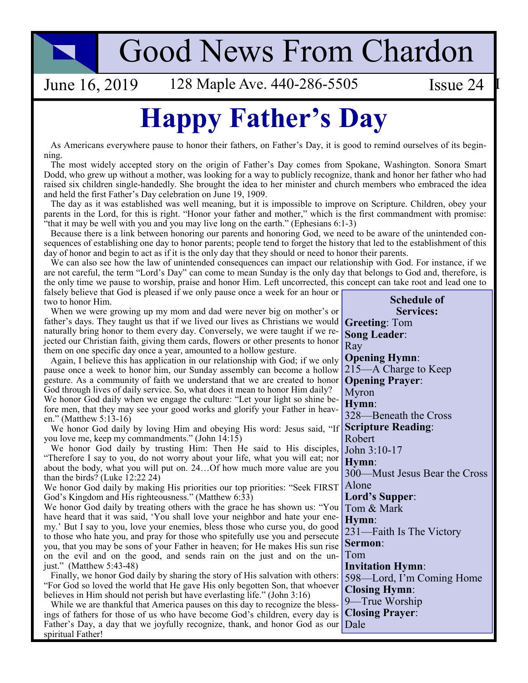# **Good News From Chardon**

June 16, 2019

128 Maple Ave. 440-286-5505

## **Happy Father's Day**

As Americans everywhere pause to honor their fathers, on Father's Day, it is good to remind ourselves of its beginning.

The most widely accepted story on the origin of Father's Day comes from Spokane, Washington. Sonora Smart Dodd, who grew up without a mother, was looking for a way to publicly recognize, thank and honor her father who had raised six children single-handedly. She brought the idea to her minister and church members who embraced the idea and held the first Father's Day celebration on June 19, 1909.

The day as it was established was well meaning, but it is impossible to improve on Scripture. Children, obey your parents in the Lord, for this is right. "Honor your father and mother," which is the first commandment with promise: "that it may be well with you and you may live long on the earth." (Ephesians 6:1-3)

Because there is a link between honoring our parents and honoring God, we need to be aware of the unintended consequences of establishing one day to honor parents; people tend to forget the history that led to the establishment of this day of honor and begin to act as if it is the only day that they should or need to honor their parents.

We can also see how the law of unintended consequences can impact our relationship with God. For instance, if we are not careful, the term "Lord's Day" can come to mean Sunday is the only day that belongs to God and, therefore, is the only time we pause to worship, praise and honor Him. Left uncorrected, this concept can take root and lead one to falsely believe that God is pleased if we only pause once a week for an hour or **Schedule of** two to honor Him.

**Services:** When we were growing up my mom and dad were never big on mother's or father's days. They taught us that if we lived our lives as Christians we would **Greeting: Tom** naturally bring honor to them every day. Conversely, we were taught if we re-**Song Leader:** jected our Christian faith, giving them cards, flowers or other presents to honor Ray them on one specific day once a year, amounted to a hollow gesture. **Opening Hymn:** Again, I believe this has application in our relationship with God; if we only 215—A Charge to Keep pause once a week to honor him, our Sunday assembly can become a hollow gesture. As a community of faith we understand that we are created to honor **Opening Prayer:** God through lives of daily service. So, what does it mean to honor Him daily? Myron We honor God daily when we engage the culture: "Let your light so shine be-Hymn: fore men, that they may see your good works and glorify your Father in heav-328—Beneath the Cross en." (Matthew 5:13-16) **Scripture Reading:** We honor God daily by loving Him and obeying His word: Jesus said, "If Robert you love me, keep my commandments." (John 14:15) We honor God daily by trusting Him: Then He said to His disciples, John 3:10-17 "Therefore I say to you, do not worry about your life, what you will eat; nor Hymn: about the body, what you will put on. 24...Of how much more value are you 300—Must Jesus Bear the Cross than the birds? (Luke  $12:22\,24$ ) Alone We honor God daily by making His priorities our top priorities: "Seek FIRST God's Kingdom and His righteousness." (Matthew 6:33) Lord's Supper: We honor God daily by treating others with the grace he has shown us: "You Tom & Mark have heard that it was said, 'You shall love your neighbor and hate your ene-Hvmn: my.' But I say to you, love your enemies, bless those who curse you, do good 231—Faith Is The Victory to those who hate you, and pray for those who spitefully use you and persecute Sermon: you, that you may be sons of your Father in heaven; for He makes His sun rise Tom on the evil and on the good, and sends rain on the just and on the unjust." (Matthew  $5:43-48$ ) **Invitation Hymn:** Finally, we honor God daily by sharing the story of His salvation with others: 598—Lord, I'm Coming Home "For God so loved the world that He gave His only begotten Son, that whoever **Closing Hymn:** believes in Him should not perish but have everlasting life." (John  $3:16$ ) 9—True Worship While we are thankful that America pauses on this day to recognize the bless-**Closing Prayer:** ings of fathers for those of us who have become God's children, every day is Dale Father's Day, a day that we joyfully recognize, thank, and honor God as our spiritual Father!